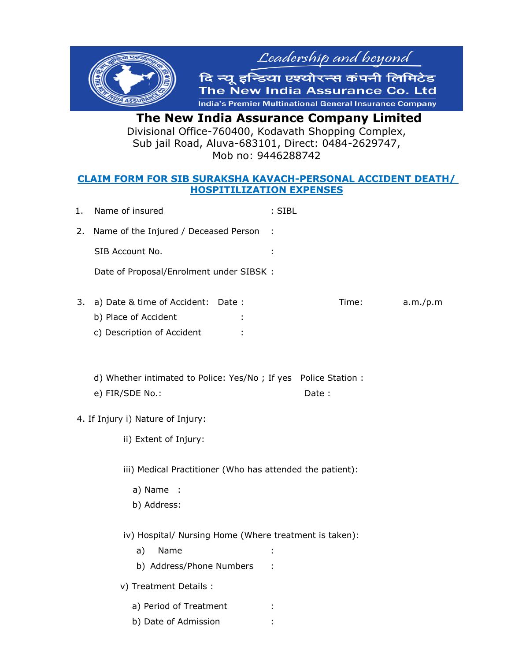

 **The New India Assurance Company Limited**  Divisional Office-760400, Kodavath Shopping Complex, Sub jail Road, Aluva-683101, Direct: 0484-2629747, Mob no: 9446288742

## **CLAIM FORM FOR SIB SURAKSHA KAVACH-PERSONAL ACCIDENT DEATH/ HOSPITILIZATION EXPENSES**

|                                                                                       | 1. | Name of insured                                                                          | : SIBL |       |          |
|---------------------------------------------------------------------------------------|----|------------------------------------------------------------------------------------------|--------|-------|----------|
|                                                                                       | 2. | Name of the Injured / Deceased Person                                                    |        |       |          |
|                                                                                       |    | SIB Account No.                                                                          |        |       |          |
|                                                                                       |    | Date of Proposal/Enrolment under SIBSK :                                                 |        |       |          |
|                                                                                       | 3. | a) Date & time of Accident: Date :<br>b) Place of Accident<br>c) Description of Accident |        | Time: | a.m./p.m |
|                                                                                       |    | d) Whether intimated to Police: Yes/No; If yes Police Station :<br>e) FIR/SDE No.:       |        | Date: |          |
|                                                                                       |    | 4. If Injury i) Nature of Injury:                                                        |        |       |          |
|                                                                                       |    | ii) Extent of Injury:                                                                    |        |       |          |
| iii) Medical Practitioner (Who has attended the patient):<br>a) Name :<br>b) Address: |    |                                                                                          |        |       |          |
| iv) Hospital/ Nursing Home (Where treatment is taken):                                |    |                                                                                          |        |       |          |
|                                                                                       |    | Name<br>a)                                                                               |        |       |          |
|                                                                                       |    | b) Address/Phone Numbers                                                                 |        |       |          |
|                                                                                       |    | v) Treatment Details :                                                                   |        |       |          |
|                                                                                       |    | a) Period of Treatment                                                                   |        |       |          |
|                                                                                       |    | b) Date of Admission                                                                     |        |       |          |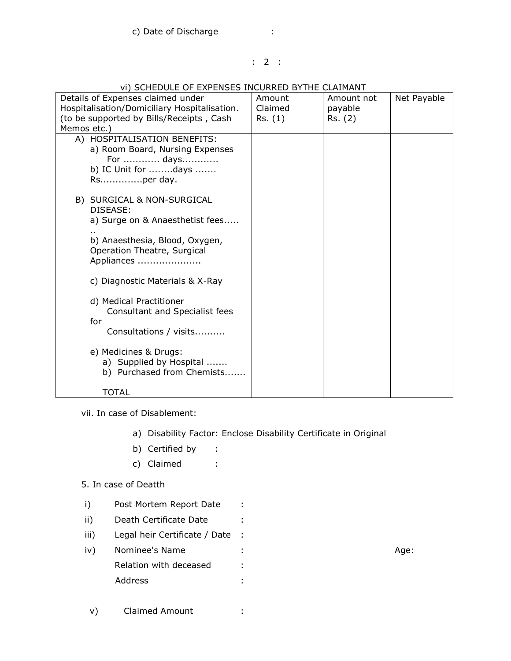### : 2 :

| VI) SCHEDULE OF EXPENSES INCURRED BYTHE CLAIMANT |         |            |             |  |  |  |  |
|--------------------------------------------------|---------|------------|-------------|--|--|--|--|
| Details of Expenses claimed under                | Amount  | Amount not | Net Payable |  |  |  |  |
| Hospitalisation/Domiciliary Hospitalisation.     | Claimed | payable    |             |  |  |  |  |
| (to be supported by Bills/Receipts, Cash         | Rs. (1) | Rs. (2)    |             |  |  |  |  |
| Memos etc.)                                      |         |            |             |  |  |  |  |
| A) HOSPITALISATION BENEFITS:                     |         |            |             |  |  |  |  |
| a) Room Board, Nursing Expenses                  |         |            |             |  |  |  |  |
| For  days                                        |         |            |             |  |  |  |  |
| b) IC Unit for days                              |         |            |             |  |  |  |  |
| Rsper day.                                       |         |            |             |  |  |  |  |
|                                                  |         |            |             |  |  |  |  |
| B) SURGICAL & NON-SURGICAL                       |         |            |             |  |  |  |  |
| DISEASE:                                         |         |            |             |  |  |  |  |
| a) Surge on & Anaesthetist fees                  |         |            |             |  |  |  |  |
| b) Anaesthesia, Blood, Oxygen,                   |         |            |             |  |  |  |  |
| Operation Theatre, Surgical                      |         |            |             |  |  |  |  |
| Appliances                                       |         |            |             |  |  |  |  |
|                                                  |         |            |             |  |  |  |  |
| c) Diagnostic Materials & X-Ray                  |         |            |             |  |  |  |  |
|                                                  |         |            |             |  |  |  |  |
| d) Medical Practitioner                          |         |            |             |  |  |  |  |
| Consultant and Specialist fees                   |         |            |             |  |  |  |  |
| for                                              |         |            |             |  |  |  |  |
| Consultations / visits                           |         |            |             |  |  |  |  |
|                                                  |         |            |             |  |  |  |  |
| e) Medicines & Drugs:                            |         |            |             |  |  |  |  |
| a) Supplied by Hospital                          |         |            |             |  |  |  |  |
| b) Purchased from Chemists                       |         |            |             |  |  |  |  |
|                                                  |         |            |             |  |  |  |  |
| TOTAL                                            |         |            |             |  |  |  |  |

# **VI) CCHEDULE OF EVDENCES INCURRED BYTHE CLAIMANT**

vii. In case of Disablement:

- a) Disability Factor: Enclose Disability Certificate in Original
- b) Certified by :
- c) Claimed :

5. In case of Deatth

- i) Post Mortem Report Date :
- ii) Death Certificate Date :
- iii) Legal heir Certificate / Date :
- iv) Nominee's Name : Age: Relation with deceased : Address :

v) Claimed Amount :